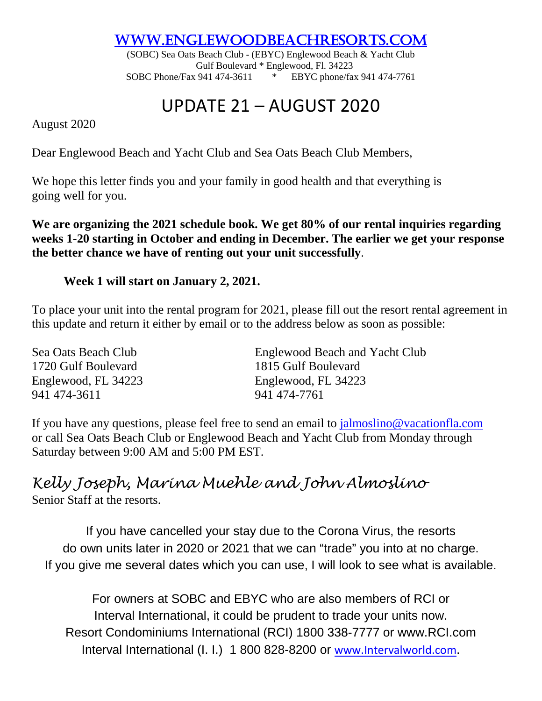[www.eNGLEWOODBEACHRESORTS.COM](http://www.englewoodbeachresorts.com/)

(SOBC) Sea Oats Beach Club - (EBYC) Englewood Beach & Yacht Club Gulf Boulevard \* Englewood, Fl. 34223 SOBC Phone/Fax 941 474-3611 \* EBYC phone/fax 941 474-7761

# UPDATE 21 – AUGUST 2020

August 2020

Dear Englewood Beach and Yacht Club and Sea Oats Beach Club Members,

We hope this letter finds you and your family in good health and that everything is going well for you.

**We are organizing the 2021 schedule book. We get 80% of our rental inquiries regarding weeks 1-20 starting in October and ending in December. The earlier we get your response the better chance we have of renting out your unit successfully**.

## **Week 1 will start on January 2, 2021.**

To place your unit into the rental program for 2021, please fill out the resort rental agreement in this update and return it either by email or to the address below as soon as possible:

| Sea Oats Beach Club | Englewood Beach and Yacht Club |
|---------------------|--------------------------------|
| 1720 Gulf Boulevard | 1815 Gulf Boulevard            |
| Englewood, FL 34223 | Englewood, FL 34223            |
| 941 474-3611        | 941 474-7761                   |

If you have any questions, please feel free to send an email to [jalmoslino@vacationfla.com](mailto:jalmoslino@vacationfla.com) or call Sea Oats Beach Club or Englewood Beach and Yacht Club from Monday through Saturday between 9:00 AM and 5:00 PM EST.

## *Kelly Joseph, Marina Muehle and John Almoslino*

Senior Staff at the resorts.

If you have cancelled your stay due to the Corona Virus, the resorts do own units later in 2020 or 2021 that we can "trade" you into at no charge. If you give me several dates which you can use, I will look to see what is available.

For owners at SOBC and EBYC who are also members of RCI or Interval International, it could be prudent to trade your units now. Resort Condominiums International (RCI) 1800 338-7777 or www.RCI.com Interval International (I. I.) 1 800 828-8200 or [www.Intervalworld.com](http://www.intervalworld.com/).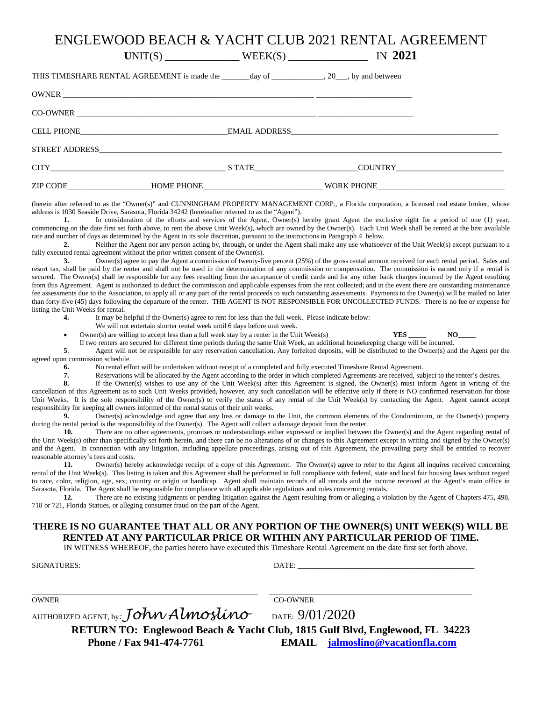### ENGLEWOOD BEACH & YACHT CLUB 2021 RENTAL AGREEMENT

**U**NIT(S) \_\_\_\_\_\_\_\_\_\_\_\_\_\_ WEEK(S) \_\_\_\_\_\_\_\_\_\_\_\_\_\_\_ IN **2021** THIS TIMESHARE RENTAL AGREEMENT is made the \_\_\_\_\_\_\_day of \_\_\_\_\_\_\_\_\_\_\_\_\_, 20\_\_\_, by and between OWNER \_\_\_\_\_\_\_\_\_\_\_\_\_\_\_\_\_\_\_\_\_\_\_\_\_\_\_\_\_\_\_\_\_\_\_\_\_\_\_\_\_\_\_\_\_\_\_\_\_\_\_\_\_\_\_\_\_\_\_\_\_\_\_ \_\_\_\_\_\_\_\_\_\_\_\_\_\_\_\_\_\_\_\_\_\_\_\_ CO-OWNER CELL PHONE\_\_\_\_\_\_\_\_\_\_\_\_\_\_\_\_\_\_\_\_\_\_\_\_\_\_\_\_\_\_\_\_\_\_\_\_\_EMAIL ADDRESS\_\_\_\_\_\_\_\_\_\_\_\_\_\_\_\_\_\_\_\_\_\_\_\_\_\_\_\_\_\_\_\_\_\_\_\_\_\_\_\_\_\_\_\_\_\_\_\_\_\_\_\_

| STREET ADDRESS |                   |                   |  |  |
|----------------|-------------------|-------------------|--|--|
| CITY           | <b>S TATE</b>     | <b>COUNTRY</b>    |  |  |
| ZIP CODE       | <b>HOME PHONE</b> | <b>WORK PHONE</b> |  |  |

(herein after referred to as the "Owner(s)" and CUNNINGHAM PROPERTY MANAGEMENT CORP., a Florida corporation, a licensed real estate broker, whose address is 1030 Seaside Drive, Sarasota, Florida 34242 (hereinafter referred to as the "Agent").<br>
1. In consideration of the efforts and services of the Agent Owner(s) I.

In consideration of the efforts and services of the Agent, Owner(s) hereby grant Agent the exclusive right for a period of one (1) year, commencing on the date first set forth above, to rent the above Unit Week(s), which are owned by the Owner(s). Each Unit Week shall be rented at the best available rate and number of days as determined by the Agent in its sole discretion, pursuant to the instructions in Paragraph 4 below.

**2.** Neither the Agent nor any person acting by, through, or under the Agent shall make any use whatsoever of the Unit Week(s) except pursuant to a fully executed rental agreement without the prior written consent of the Owner(s).

**3.** Owner(s) agree to pay the Agent a commission of twenty-five percent (25%) of the gross rental amount received for each rental period. Sales and resort tax, shall be paid by the renter and shall not be used in the determination of any commission or compensation. The commission is earned only if a rental is secured. The Owner(s) shall be responsible for any fees resulting from the acceptance of credit cards and for any other bank charges incurred by the Agent resulting from this Agreement. Agent is authorized to deduct the commission and applicable expenses from the rent collected; and in the event there are outstanding maintenance fee assessments due to the Association, to apply all or any part of the rental proceeds to such outstanding assessments. Payments to the Owner(s) will be mailed no later than forty-five (45) days following the departure of the renter. THE AGENT IS NOT RESPONSIBLE FOR UNCOLLECTED FUNDS. There is no fee or expense for listing the Unit Weeks for rental.

- **4.** It may be helpful if the Owner(s) agree to rent for less than the full week. Please indicate below:
	- We will not entertain shorter rental week until 6 days before unit week.
- Owner(s) are willing to accept less than a full week stay by a renter in the Unit Week(s) **YES YES** NO
	-

If two renters are secured for different time periods during the same Unit Week, an additional housekeeping charge will be incurred.<br>S Agent will not be responsible for any reservation cancellation. Any forfeited deposits, **5**. Agent will not be responsible for any reservation cancellation. Any forfeited deposits, will be distributed to the Owner(s) and the Agent per the agreed upon commission schedule.

**6.** No rental effort will be undertaken without receipt of a completed and fully executed Timeshare Rental Agreement.

**7.** Reservations will be allocated by the Agent according to the order in which completed Agreements are received, subject to the renter's desires.<br>**8.** If the Owner(s) wishes to use any of the Unit Week(s) after this Agr

**8.** If the Owner(s) wishes to use any of the Unit Week(s) after this Agreement is signed, the Owner(s) must inform Agent in writing of the cancellation of this Agreement as to such Unit Weeks provided, however, any such cancellation will be effective only if there is NO confirmed reservation for those Unit Weeks. It is the sole responsibility of the Owner(s) to verify the status of any rental of the Unit Week(s) by contacting the Agent. Agent cannot accept responsibility for keeping all owners informed of the rental status of their unit weeks.

**9.** Owner(s) acknowledge and agree that any loss or damage to the Unit, the common elements of the Condominium, or the Owner(s) property during the rental period is the responsibility of the Owner(s). The Agent will collect a damage deposit from the renter.

10. There are no other agreements, promises or understandings either expressed or implied between the Owner(s) and the Agent regarding rental of the Unit Week(s) other than specifically set forth herein, and there can be no alterations of or changes to this Agreement except in writing and signed by the Owner(s) and the Agent. In connection with any litigation, including appellate proceedings, arising out of this Agreement, the prevailing party shall be entitled to recover reasonable attorney's fees and costs.

11. Owner(s) hereby acknowledge receipt of a copy of this Agreement. The Owner(s) agree to refer to the Agent all inquires received concerning rental of the Unit Week(s). This listing is taken and this Agreement shall be performed in full compliance with federal, state and local fair housing laws without regard to race, color, religion, age, sex, country or origin or handicap. Agent shall maintain records of all rentals and the income received at the Agent's main office in Sarasota, Florida. The Agent shall be responsible for compliance with all applicable regulations and rules concerning rentals.

**12.** There are no existing judgments or pending litigation against the Agent resulting from or alleging a violation by the Agent of Chapters 475, 498, 718 or 721, Florida Statues, or alleging consumer fraud on the part of the Agent.

#### **THERE IS NO GUARANTEE THAT ALL OR ANY PORTION OF THE OWNER(S) UNIT WEEK(S) WILL BE RENTED AT ANY PARTICULAR PRICE OR WITHIN ANY PARTICULAR PERIOD OF TIME.**

IN WITNESS WHEREOF, the parties hereto have executed this Timeshare Rental Agreement on the date first set forth above.

| <b>SIGNATURES:</b>                   | DATE:                                                                        |
|--------------------------------------|------------------------------------------------------------------------------|
|                                      |                                                                              |
| <b>OWNER</b>                         | <b>CO-OWNER</b>                                                              |
| AUTHORIZED AGENT, by: John Almoslino | DATE: $9/01/2020$                                                            |
|                                      | RETURN TO: Englewood Beach & Yacht Club, 1815 Gulf Blvd, Englewood, FL 34223 |
| Phone / Fax 941-474-7761             | <b>EMAIL</b> jalmoslino@vacationfla.com                                      |